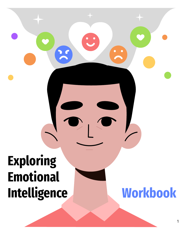# **Exploring Emotional Intelligence Workbook**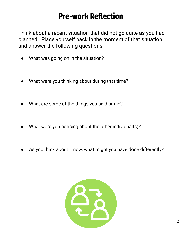#### **Pre-work Reflection**

Think about a recent situation that did not go quite as you had planned. Place yourself back in the moment of that situation and answer the following questions:

- What was going on in the situation?
- What were you thinking about during that time?
- What are some of the things you said or did?
- What were you noticing about the other individual(s)?
- As you think about it now, what might you have done differently?

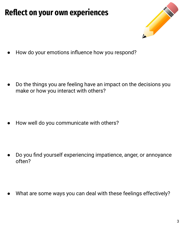## **Reflect on your own experiences**



How do your emotions influence how you respond?

Do the things you are feeling have an impact on the decisions you make or how you interact with others?

How well do you communicate with others?

Do you find yourself experiencing impatience, anger, or annoyance often?

What are some ways you can deal with these feelings effectively?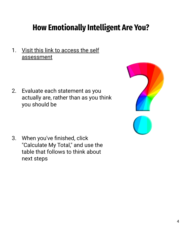### **How Emotionally Intelligent Are You?**

1. [Visit this link to access the self](https://www.mindtools.com/pages/article/ei-quiz.htm) [assessment](https://www.mindtools.com/pages/article/ei-quiz.htm)

2. Evaluate each statement as you actually are, rather than as you think you should be



3. When you've finished, click "Calculate My Total," and use the table that follows to think about next steps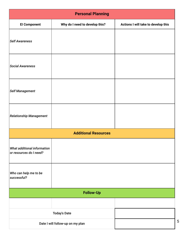| <b>Personal Planning</b>                               |                                |                                     |
|--------------------------------------------------------|--------------------------------|-------------------------------------|
| <b>El Component</b>                                    | Why do I need to develop this? | Actions I will take to develop this |
| <b>Self Awareness</b>                                  |                                |                                     |
| <b>Social Awareness</b>                                |                                |                                     |
| <b>Self Management</b>                                 |                                |                                     |
| <b>Relationship Management</b>                         |                                |                                     |
| <b>Additional Resources</b>                            |                                |                                     |
| What additional information<br>or resources do I need? |                                |                                     |
| Who can help me to be<br>successful?                   |                                |                                     |
| <b>Follow-Up</b>                                       |                                |                                     |
|                                                        |                                |                                     |
| <b>Today's Date</b>                                    |                                |                                     |
| Date I will follow-up on my plan                       |                                |                                     |